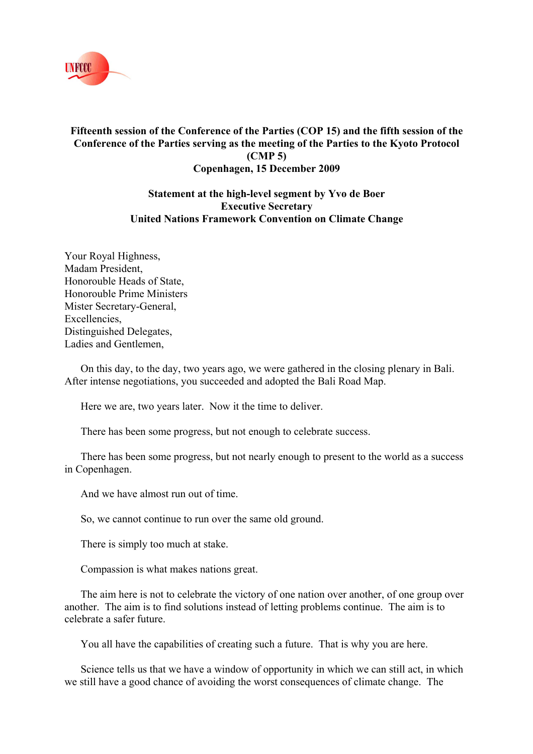

## **Fifteenth session of the Conference of the Parties (COP 15) and the fifth session of the Conference of the Parties serving as the meeting of the Parties to the Kyoto Protocol (CMP 5) Copenhagen, 15 December 2009**

## **Statement at the high-level segment by Yvo de Boer Executive Secretary United Nations Framework Convention on Climate Change**

Your Royal Highness, Madam President, Honorouble Heads of State, Honorouble Prime Ministers Mister Secretary-General, Excellencies, Distinguished Delegates, Ladies and Gentlemen,

On this day, to the day, two years ago, we were gathered in the closing plenary in Bali. After intense negotiations, you succeeded and adopted the Bali Road Map.

Here we are, two years later. Now it the time to deliver.

There has been some progress, but not enough to celebrate success.

There has been some progress, but not nearly enough to present to the world as a success in Copenhagen.

And we have almost run out of time.

So, we cannot continue to run over the same old ground.

There is simply too much at stake.

Compassion is what makes nations great.

The aim here is not to celebrate the victory of one nation over another, of one group over another. The aim is to find solutions instead of letting problems continue. The aim is to celebrate a safer future.

You all have the capabilities of creating such a future. That is why you are here.

Science tells us that we have a window of opportunity in which we can still act, in which we still have a good chance of avoiding the worst consequences of climate change. The